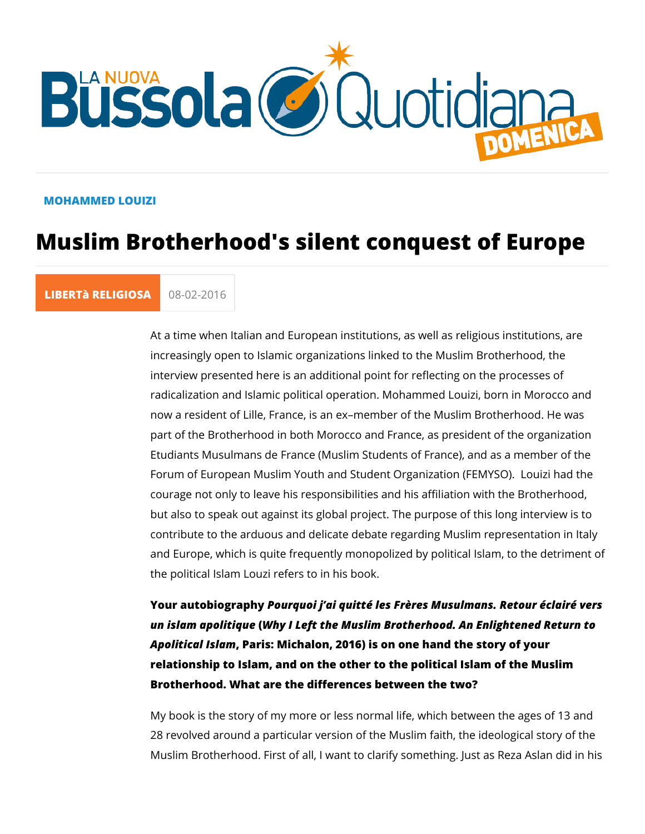#### MOHAMMED LOUIZI

# Muslim Brotherhood's silent conquest

#### [LIBERTà RELI](https://lanuovabq.it/it/liberta-religiosa) (08-02-2016

At a time when Italian and European institutions, as well as re increasingly open to Islamic organizations linked to the Muslir interview presented here is an additional point for reflecting o radicalization and Islamic political operation. Mohammed Loui; now a resident of Lille, France, is an ex member of the Muslim part of the Brotherhood in both Morocco and France, as presid Etudiants Musulmans de France (Muslim Students of France), and Forum of European Muslim Youth and Student Organization (FE courage not only to leave his responsibilities and his affiliation but also to speak out against its global project. The purpose o contribute to the arduous and delicate debate regarding Muslin and Europe, which is quite frequently monopolized by political the political Islam Louzi refers to in his book.

Your autobiogræpohy quoi j ai quitté les Frères Musulmans. Reto un islam apolit Why el Left the Muslim Brotherhood. An Enlighter Apolitical IslPaamis: Michalon, 2016) is on one hand the story of relationship to Islam, and on the other to the political Islam o Brotherhood. What are the differences between the two?

My book is the story of my more or less normal life, which bet 28 revolved around a particular version of the Muslim faith, th Muslim Brotherhood. First of all, I want to clarify something. J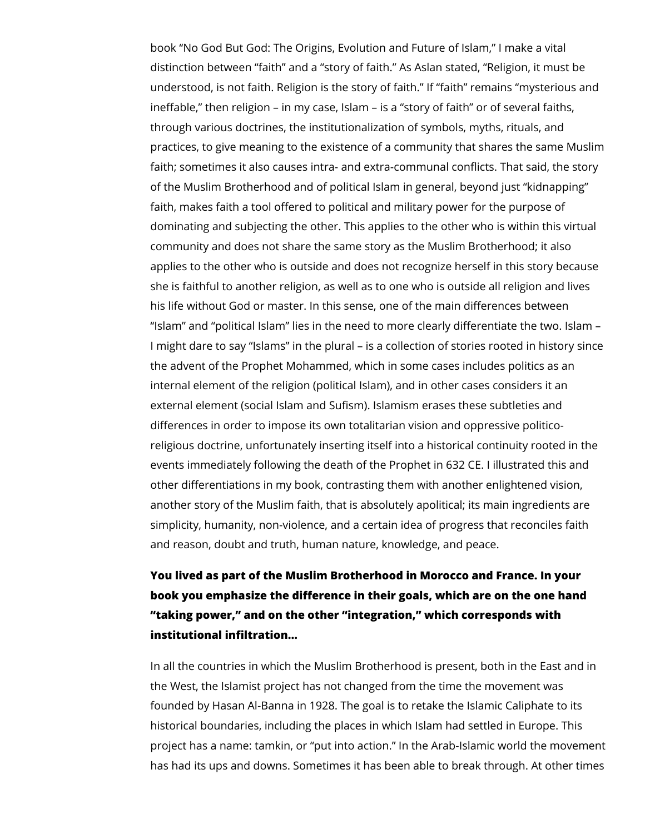book "No God But God: The Origins, Evolution and Future of Islam," I make a vital distinction between "faith" and a "story of faith." As Aslan stated, "Religion, it must be understood, is not faith. Religion is the story of faith." If "faith" remains "mysterious and ineffable," then religion – in my case, Islam – is a "story of faith" or of several faiths, through various doctrines, the institutionalization of symbols, myths, rituals, and practices, to give meaning to the existence of a community that shares the same Muslim faith; sometimes it also causes intra- and extra-communal conflicts. That said, the story of the Muslim Brotherhood and of political Islam in general, beyond just "kidnapping" faith, makes faith a tool offered to political and military power for the purpose of dominating and subjecting the other. This applies to the other who is within this virtual community and does not share the same story as the Muslim Brotherhood; it also applies to the other who is outside and does not recognize herself in this story because she is faithful to another religion, as well as to one who is outside all religion and lives his life without God or master. In this sense, one of the main differences between "Islam" and "political Islam" lies in the need to more clearly differentiate the two. Islam – I might dare to say "Islams" in the plural – is a collection of stories rooted in history since the advent of the Prophet Mohammed, which in some cases includes politics as an internal element of the religion (political Islam), and in other cases considers it an external element (social Islam and Sufism). Islamism erases these subtleties and differences in order to impose its own totalitarian vision and oppressive politicoreligious doctrine, unfortunately inserting itself into a historical continuity rooted in the events immediately following the death of the Prophet in 632 CE. I illustrated this and other differentiations in my book, contrasting them with another enlightened vision, another story of the Muslim faith, that is absolutely apolitical; its main ingredients are simplicity, humanity, non-violence, and a certain idea of progress that reconciles faith and reason, doubt and truth, human nature, knowledge, and peace.

# **You lived as part of the Muslim Brotherhood in Morocco and France. In your book you emphasize the difference in their goals, which are on the one hand "taking power," and on the other "integration," which corresponds with institutional infiltration...**

In all the countries in which the Muslim Brotherhood is present, both in the East and in the West, the Islamist project has not changed from the time the movement was founded by Hasan Al-Banna in 1928. The goal is to retake the Islamic Caliphate to its historical boundaries, including the places in which Islam had settled in Europe. This project has a name: tamkin, or "put into action." In the Arab-Islamic world the movement has had its ups and downs. Sometimes it has been able to break through. At other times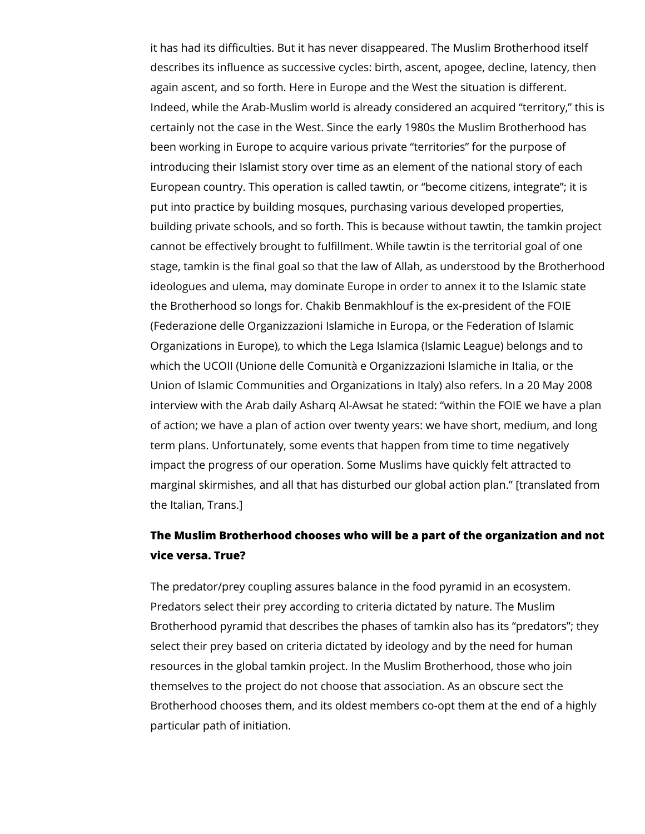it has had its difficulties. But it has never disappeared. The Muslim Brotherhood itself describes its influence as successive cycles: birth, ascent, apogee, decline, latency, then again ascent, and so forth. Here in Europe and the West the situation is different. Indeed, while the Arab-Muslim world is already considered an acquired "territory," this is certainly not the case in the West. Since the early 1980s the Muslim Brotherhood has been working in Europe to acquire various private "territories" for the purpose of introducing their Islamist story over time as an element of the national story of each European country. This operation is called tawtin, or "become citizens, integrate"; it is put into practice by building mosques, purchasing various developed properties, building private schools, and so forth. This is because without tawtin, the tamkin project cannot be effectively brought to fulfillment. While tawtin is the territorial goal of one stage, tamkin is the final goal so that the law of Allah, as understood by the Brotherhood ideologues and ulema, may dominate Europe in order to annex it to the Islamic state the Brotherhood so longs for. Chakib Benmakhlouf is the ex-president of the FOIE (Federazione delle Organizzazioni Islamiche in Europa, or the Federation of Islamic Organizations in Europe), to which the Lega Islamica (Islamic League) belongs and to which the UCOII (Unione delle Comunità e Organizzazioni Islamiche in Italia, or the Union of Islamic Communities and Organizations in Italy) also refers. In a 20 May 2008 interview with the Arab daily Asharq Al-Awsat he stated: "within the FOIE we have a plan of action; we have a plan of action over twenty years: we have short, medium, and long term plans. Unfortunately, some events that happen from time to time negatively impact the progress of our operation. Some Muslims have quickly felt attracted to marginal skirmishes, and all that has disturbed our global action plan." [translated from the Italian, Trans.]

### **The Muslim Brotherhood chooses who will be a part of the organization and not vice versa. True?**

The predator/prey coupling assures balance in the food pyramid in an ecosystem. Predators select their prey according to criteria dictated by nature. The Muslim Brotherhood pyramid that describes the phases of tamkin also has its "predators"; they select their prey based on criteria dictated by ideology and by the need for human resources in the global tamkin project. In the Muslim Brotherhood, those who join themselves to the project do not choose that association. As an obscure sect the Brotherhood chooses them, and its oldest members co-opt them at the end of a highly particular path of initiation.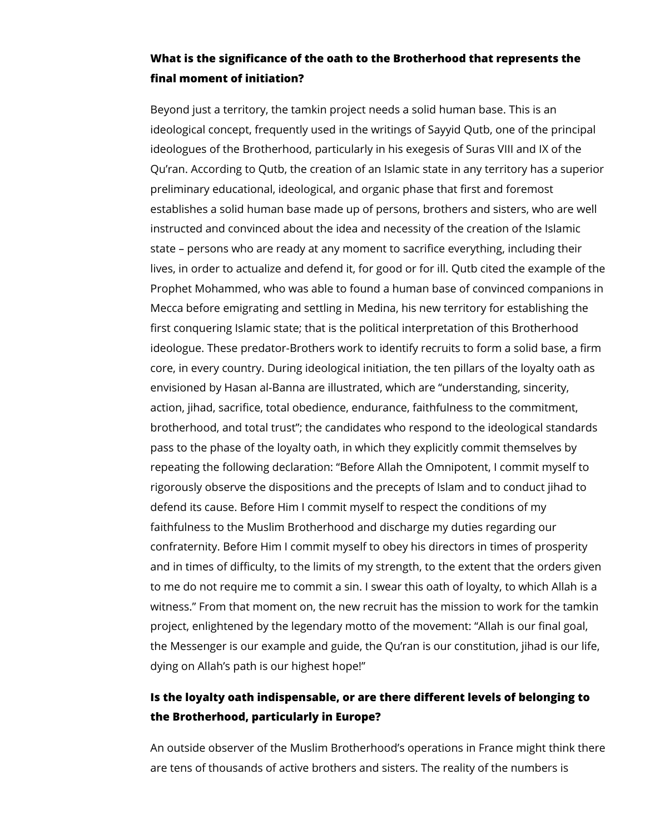#### **What is the significance of the oath to the Brotherhood that represents the final moment of initiation?**

Beyond just a territory, the tamkin project needs a solid human base. This is an ideological concept, frequently used in the writings of Sayyid Qutb, one of the principal ideologues of the Brotherhood, particularly in his exegesis of Suras VIII and IX of the Qu'ran. According to Qutb, the creation of an Islamic state in any territory has a superior preliminary educational, ideological, and organic phase that first and foremost establishes a solid human base made up of persons, brothers and sisters, who are well instructed and convinced about the idea and necessity of the creation of the Islamic state – persons who are ready at any moment to sacrifice everything, including their lives, in order to actualize and defend it, for good or for ill. Qutb cited the example of the Prophet Mohammed, who was able to found a human base of convinced companions in Mecca before emigrating and settling in Medina, his new territory for establishing the first conquering Islamic state; that is the political interpretation of this Brotherhood ideologue. These predator-Brothers work to identify recruits to form a solid base, a firm core, in every country. During ideological initiation, the ten pillars of the loyalty oath as envisioned by Hasan al-Banna are illustrated, which are "understanding, sincerity, action, jihad, sacrifice, total obedience, endurance, faithfulness to the commitment, brotherhood, and total trust"; the candidates who respond to the ideological standards pass to the phase of the loyalty oath, in which they explicitly commit themselves by repeating the following declaration: "Before Allah the Omnipotent, I commit myself to rigorously observe the dispositions and the precepts of Islam and to conduct jihad to defend its cause. Before Him I commit myself to respect the conditions of my faithfulness to the Muslim Brotherhood and discharge my duties regarding our confraternity. Before Him I commit myself to obey his directors in times of prosperity and in times of difficulty, to the limits of my strength, to the extent that the orders given to me do not require me to commit a sin. I swear this oath of loyalty, to which Allah is a witness." From that moment on, the new recruit has the mission to work for the tamkin project, enlightened by the legendary motto of the movement: "Allah is our final goal, the Messenger is our example and guide, the Qu'ran is our constitution, jihad is our life, dying on Allah's path is our highest hope!"

### **Is the loyalty oath indispensable, or are there different levels of belonging to the Brotherhood, particularly in Europe?**

An outside observer of the Muslim Brotherhood's operations in France might think there are tens of thousands of active brothers and sisters. The reality of the numbers is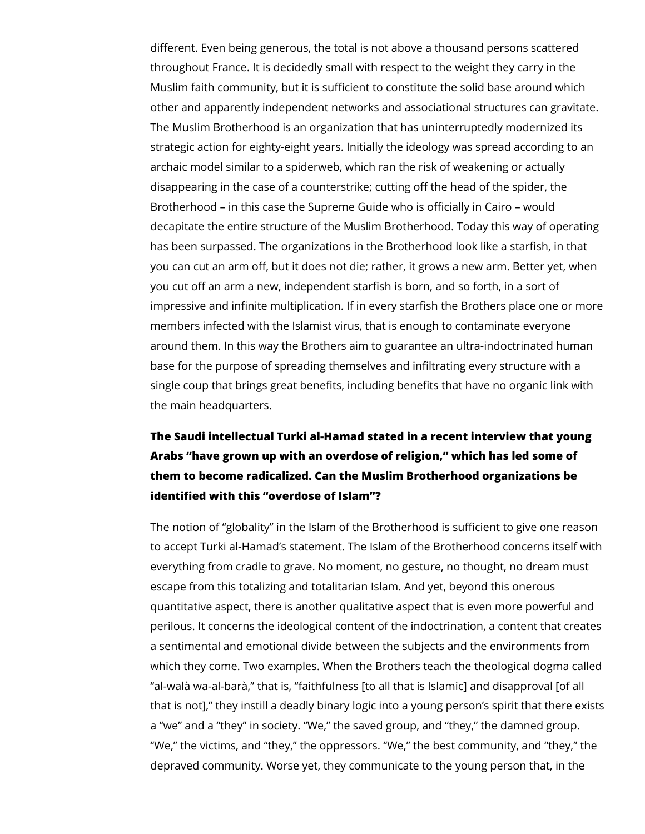different. Even being generous, the total is not above a thousand persons scattered throughout France. It is decidedly small with respect to the weight they carry in the Muslim faith community, but it is sufficient to constitute the solid base around which other and apparently independent networks and associational structures can gravitate. The Muslim Brotherhood is an organization that has uninterruptedly modernized its strategic action for eighty-eight years. Initially the ideology was spread according to an archaic model similar to a spiderweb, which ran the risk of weakening or actually disappearing in the case of a counterstrike; cutting off the head of the spider, the Brotherhood – in this case the Supreme Guide who is officially in Cairo – would decapitate the entire structure of the Muslim Brotherhood. Today this way of operating has been surpassed. The organizations in the Brotherhood look like a starfish, in that you can cut an arm off, but it does not die; rather, it grows a new arm. Better yet, when you cut off an arm a new, independent starfish is born, and so forth, in a sort of impressive and infinite multiplication. If in every starfish the Brothers place one or more members infected with the Islamist virus, that is enough to contaminate everyone around them. In this way the Brothers aim to guarantee an ultra-indoctrinated human base for the purpose of spreading themselves and infiltrating every structure with a single coup that brings great benefits, including benefits that have no organic link with the main headquarters.

# **The Saudi intellectual Turki al-Hamad stated in a recent interview that young Arabs "have grown up with an overdose of religion," which has led some of them to become radicalized. Can the Muslim Brotherhood organizations be identified with this "overdose of Islam"?**

The notion of "globality" in the Islam of the Brotherhood is sufficient to give one reason to accept Turki al-Hamad's statement. The Islam of the Brotherhood concerns itself with everything from cradle to grave. No moment, no gesture, no thought, no dream must escape from this totalizing and totalitarian Islam. And yet, beyond this onerous quantitative aspect, there is another qualitative aspect that is even more powerful and perilous. It concerns the ideological content of the indoctrination, a content that creates a sentimental and emotional divide between the subjects and the environments from which they come. Two examples. When the Brothers teach the theological dogma called "al-walà wa-al-barà," that is, "faithfulness [to all that is Islamic] and disapproval [of all that is not]," they instill a deadly binary logic into a young person's spirit that there exists a "we" and a "they" in society. "We," the saved group, and "they," the damned group. "We," the victims, and "they," the oppressors. "We," the best community, and "they," the depraved community. Worse yet, they communicate to the young person that, in the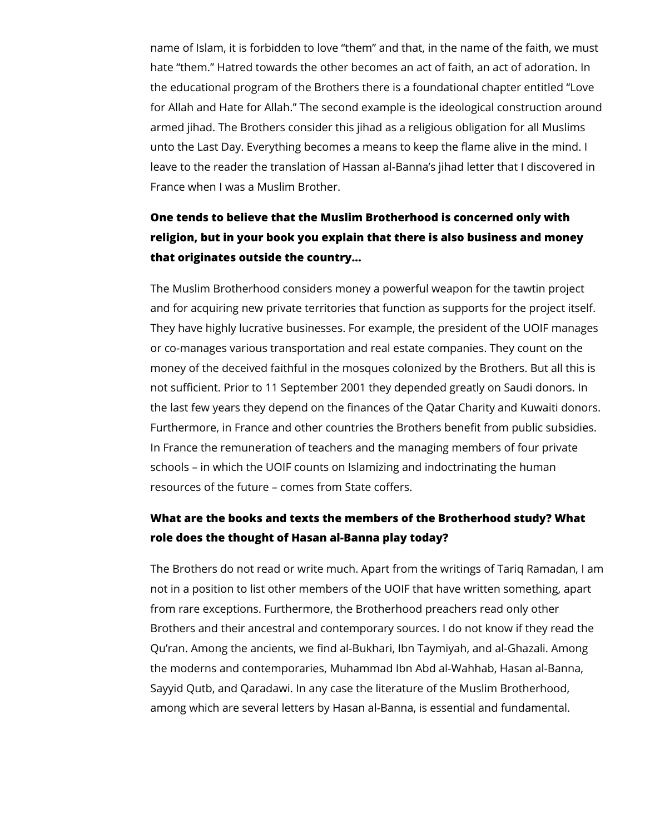name of Islam, it is forbidden to love "them" and that, in the name of the faith, we must hate "them." Hatred towards the other becomes an act of faith, an act of adoration. In the educational program of the Brothers there is a foundational chapter entitled "Love for Allah and Hate for Allah." The second example is the ideological construction around armed jihad. The Brothers consider this jihad as a religious obligation for all Muslims unto the Last Day. Everything becomes a means to keep the flame alive in the mind. I leave to the reader the translation of Hassan al-Banna's jihad letter that I discovered in France when I was a Muslim Brother.

# **One tends to believe that the Muslim Brotherhood is concerned only with religion, but in your book you explain that there is also business and money that originates outside the country…**

The Muslim Brotherhood considers money a powerful weapon for the tawtin project and for acquiring new private territories that function as supports for the project itself. They have highly lucrative businesses. For example, the president of the UOIF manages or co-manages various transportation and real estate companies. They count on the money of the deceived faithful in the mosques colonized by the Brothers. But all this is not sufficient. Prior to 11 September 2001 they depended greatly on Saudi donors. In the last few years they depend on the finances of the Qatar Charity and Kuwaiti donors. Furthermore, in France and other countries the Brothers benefit from public subsidies. In France the remuneration of teachers and the managing members of four private schools – in which the UOIF counts on Islamizing and indoctrinating the human resources of the future – comes from State coffers.

### **What are the books and texts the members of the Brotherhood study? What role does the thought of Hasan al-Banna play today?**

The Brothers do not read or write much. Apart from the writings of Tariq Ramadan, I am not in a position to list other members of the UOIF that have written something, apart from rare exceptions. Furthermore, the Brotherhood preachers read only other Brothers and their ancestral and contemporary sources. I do not know if they read the Qu'ran. Among the ancients, we find al-Bukhari, Ibn Taymiyah, and al-Ghazali. Among the moderns and contemporaries, Muhammad Ibn Abd al-Wahhab, Hasan al-Banna, Sayyid Qutb, and Qaradawi. In any case the literature of the Muslim Brotherhood, among which are several letters by Hasan al-Banna, is essential and fundamental.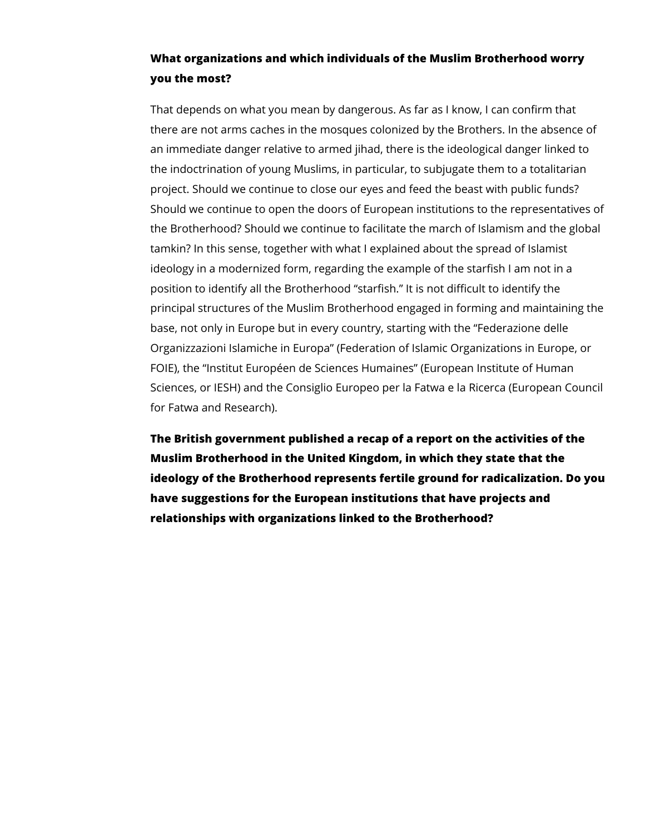### **What organizations and which individuals of the Muslim Brotherhood worry you the most?**

That depends on what you mean by dangerous. As far as I know, I can confirm that there are not arms caches in the mosques colonized by the Brothers. In the absence of an immediate danger relative to armed jihad, there is the ideological danger linked to the indoctrination of young Muslims, in particular, to subjugate them to a totalitarian project. Should we continue to close our eyes and feed the beast with public funds? Should we continue to open the doors of European institutions to the representatives of the Brotherhood? Should we continue to facilitate the march of Islamism and the global tamkin? In this sense, together with what I explained about the spread of Islamist ideology in a modernized form, regarding the example of the starfish I am not in a position to identify all the Brotherhood "starfish." It is not difficult to identify the principal structures of the Muslim Brotherhood engaged in forming and maintaining the base, not only in Europe but in every country, starting with the "Federazione delle Organizzazioni Islamiche in Europa" (Federation of Islamic Organizations in Europe, or FOIE), the "Institut Européen de Sciences Humaines" (European Institute of Human Sciences, or IESH) and the Consiglio Europeo per la Fatwa e la Ricerca (European Council for Fatwa and Research).

**The British government published a recap of a report on the activities of the Muslim Brotherhood in the United Kingdom, in which they state that the ideology of the Brotherhood represents fertile ground for radicalization. Do you have suggestions for the European institutions that have projects and relationships with organizations linked to the Brotherhood?**